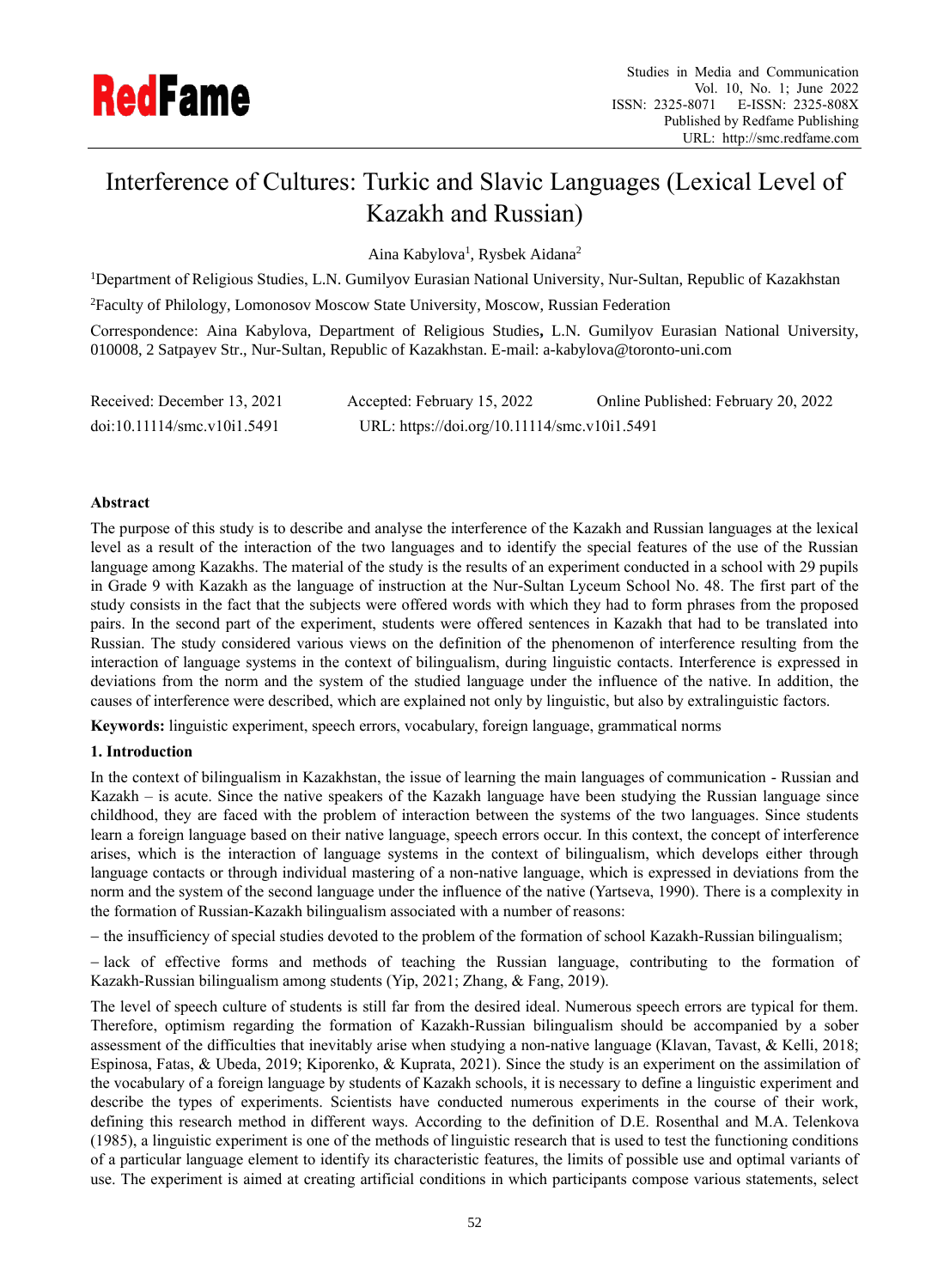

# Interference of Cultures: Turkic and Slavic Languages (Lexical Level of Kazakh and Russian)

Aina Kabylova<sup>1</sup>, Rysbek Aidana<sup>2</sup>

<sup>1</sup>Department of Religious Studies, L.N. Gumilyov Eurasian National University, Nur-Sultan, Republic of Kazakhstan <sup>2</sup>Faculty of Philology, Lomonosov Moscow State University, Moscow, Russian Federation

Correspondence: Aina Kabylova, Department of Religious Studies**,** L.N. Gumilyov Eurasian National University, 010008, 2 Satpayev Str., Nur-Sultan, Republic of Kazakhstan. E-mail: a-kabylova@toronto-uni.com

| Received: December 13, 2021          | Accepted: February 15, 2022                  | Online Published: February 20, 2022 |
|--------------------------------------|----------------------------------------------|-------------------------------------|
| $doi:10.11114/\text{smc.v10i1.5491}$ | URL: https://doi.org/10.11114/smc.v10i1.5491 |                                     |

# **Abstract**

The purpose of this study is to describe and analyse the interference of the Kazakh and Russian languages at the lexical level as a result of the interaction of the two languages and to identify the special features of the use of the Russian language among Kazakhs. The material of the study is the results of an experiment conducted in a school with 29 pupils in Grade 9 with Kazakh as the language of instruction at the Nur-Sultan Lyceum School No. 48. The first part of the study consists in the fact that the subjects were offered words with which they had to form phrases from the proposed pairs. In the second part of the experiment, students were offered sentences in Kazakh that had to be translated into Russian. The study considered various views on the definition of the phenomenon of interference resulting from the interaction of language systems in the context of bilingualism, during linguistic contacts. Interference is expressed in deviations from the norm and the system of the studied language under the influence of the native. In addition, the causes of interference were described, which are explained not only by linguistic, but also by extralinguistic factors.

**Keywords:** linguistic experiment, speech errors, vocabulary, foreign language, grammatical norms

# **1. Introduction**

In the context of bilingualism in Kazakhstan, the issue of learning the main languages of communication - Russian and Kazakh – is acute. Since the native speakers of the Kazakh language have been studying the Russian language since childhood, they are faced with the problem of interaction between the systems of the two languages. Since students learn a foreign language based on their native language, speech errors occur. In this context, the concept of interference arises, which is the interaction of language systems in the context of bilingualism, which develops either through language contacts or through individual mastering of a non-native language, which is expressed in deviations from the norm and the system of the second language under the influence of the native (Yartseva, 1990). There is a complexity in the formation of Russian-Kazakh bilingualism associated with a number of reasons:

− the insufficiency of special studies devoted to the problem of the formation of school Kazakh-Russian bilingualism;

− lack of effective forms and methods of teaching the Russian language, contributing to the formation of Kazakh-Russian bilingualism among students (Yip, 2021; Zhang, & Fang, 2019).

The level of speech culture of students is still far from the desired ideal. Numerous speech errors are typical for them. Therefore, optimism regarding the formation of Kazakh-Russian bilingualism should be accompanied by a sober assessment of the difficulties that inevitably arise when studying a non-native language (Klavan, Tavast, & Kelli, 2018; Espinosa, Fatas, & Ubeda, 2019; Kiporenko, & Kuprata, 2021). Since the study is an experiment on the assimilation of the vocabulary of a foreign language by students of Kazakh schools, it is necessary to define a linguistic experiment and describe the types of experiments. Scientists have conducted numerous experiments in the course of their work, defining this research method in different ways. According to the definition of D.E. Rosenthal and M.A. Telenkova (1985), a linguistic experiment is one of the methods of linguistic research that is used to test the functioning conditions of a particular language element to identify its characteristic features, the limits of possible use and optimal variants of use. The experiment is aimed at creating artificial conditions in which participants compose various statements, select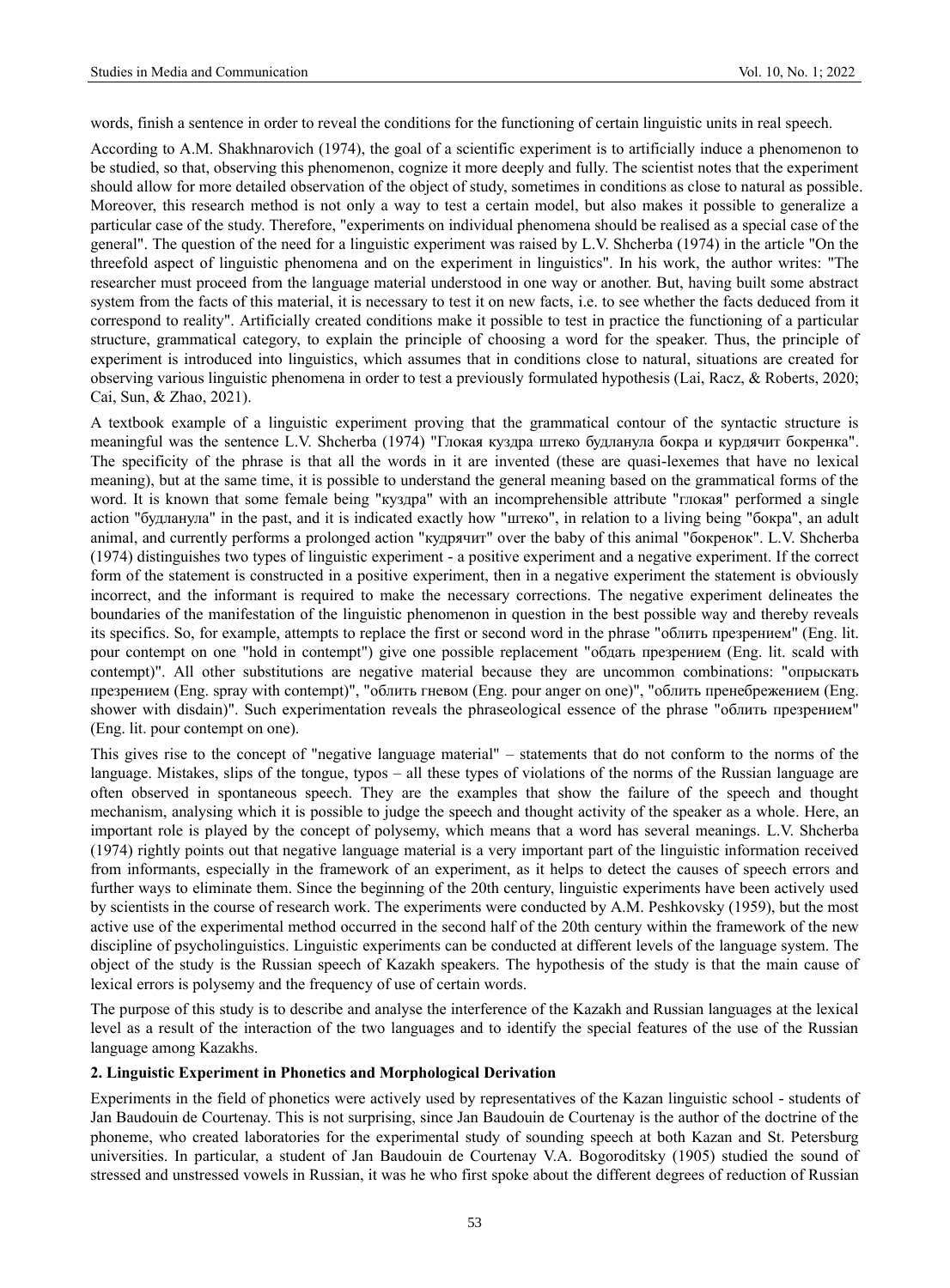words, finish a sentence in order to reveal the conditions for the functioning of certain linguistic units in real speech.

According to A.M. Shakhnarovich (1974), the goal of a scientific experiment is to artificially induce a phenomenon to be studied, so that, observing this phenomenon, cognize it more deeply and fully. The scientist notes that the experiment should allow for more detailed observation of the object of study, sometimes in conditions as close to natural as possible. Moreover, this research method is not only a way to test a certain model, but also makes it possible to generalize a particular case of the study. Therefore, "experiments on individual phenomena should be realised as a special case of the general". The question of the need for a linguistic experiment was raised by L.V. Shcherba (1974) in the article "On the threefold aspect of linguistic phenomena and on the experiment in linguistics". In his work, the author writes: "The researcher must proceed from the language material understood in one way or another. But, having built some abstract system from the facts of this material, it is necessary to test it on new facts, i.e. to see whether the facts deduced from it correspond to reality". Artificially created conditions make it possible to test in practice the functioning of a particular structure, grammatical category, to explain the principle of choosing a word for the speaker. Thus, the principle of experiment is introduced into linguistics, which assumes that in conditions close to natural, situations are created for observing various linguistic phenomena in order to test a previously formulated hypothesis (Lai, Racz, & Roberts, 2020; Cai, Sun, & Zhao, 2021).

A textbook example of a linguistic experiment proving that the grammatical contour of the syntactic structure is meaningful was the sentence L.V. Shcherba (1974) "Глокая куздра штеко будланула бокра и курдячит бокренка". The specificity of the phrase is that all the words in it are invented (these are quasi-lexemes that have no lexical meaning), but at the same time, it is possible to understand the general meaning based on the grammatical forms of the word. It is known that some female being "куздра" with an incomprehensible attribute "глокая" performed a single action "будланула" in the past, and it is indicated exactly how "штеко", in relation to a living being "бокра", an adult animal, and currently performs a prolonged action "кудрячит" over the baby of this animal "бокренок". L.V. Shcherba (1974) distinguishes two types of linguistic experiment - a positive experiment and a negative experiment. If the correct form of the statement is constructed in a positive experiment, then in a negative experiment the statement is obviously incorrect, and the informant is required to make the necessary corrections. The negative experiment delineates the boundaries of the manifestation of the linguistic phenomenon in question in the best possible way and thereby reveals its specifics. So, for example, attempts to replace the first or second word in the phrase "облить презрением" (Eng. lit. pour contempt on one "hold in contempt") give one possible replacement "обдать презрением (Eng. lit. scald with contempt)". All other substitutions are negative material because they are uncommon combinations: "опрыскать презрением (Eng. spray with contempt)", "облить гневом (Eng. pour anger on one)", "облить пренебрежением (Eng. shower with disdain)". Such experimentation reveals the phraseological essence of the phrase "облить презрением" (Eng. lit. pour contempt on one).

This gives rise to the concept of "negative language material" – statements that do not conform to the norms of the language. Mistakes, slips of the tongue, typos – all these types of violations of the norms of the Russian language are often observed in spontaneous speech. They are the examples that show the failure of the speech and thought mechanism, analysing which it is possible to judge the speech and thought activity of the speaker as a whole. Here, an important role is played by the concept of polysemy, which means that a word has several meanings. L.V. Shcherba (1974) rightly points out that negative language material is a very important part of the linguistic information received from informants, especially in the framework of an experiment, as it helps to detect the causes of speech errors and further ways to eliminate them. Since the beginning of the 20th century, linguistic experiments have been actively used by scientists in the course of research work. The experiments were conducted by A.M. Peshkovsky (1959), but the most active use of the experimental method occurred in the second half of the 20th century within the framework of the new discipline of psycholinguistics. Linguistic experiments can be conducted at different levels of the language system. The object of the study is the Russian speech of Kazakh speakers. The hypothesis of the study is that the main cause of lexical errors is polysemy and the frequency of use of certain words.

The purpose of this study is to describe and analyse the interference of the Kazakh and Russian languages at the lexical level as a result of the interaction of the two languages and to identify the special features of the use of the Russian language among Kazakhs.

# **2. Linguistic Experiment in Phonetics and Morphological Derivation**

Experiments in the field of phonetics were actively used by representatives of the Kazan linguistic school - students of Jan Baudouin de Courtenay. This is not surprising, since Jan Baudouin de Courtenay is the author of the doctrine of the phoneme, who created laboratories for the experimental study of sounding speech at both Kazan and St. Petersburg universities. In particular, a student of Jan Baudouin de Courtenay V.A. Bogoroditsky (1905) studied the sound of stressed and unstressed vowels in Russian, it was he who first spoke about the different degrees of reduction of Russian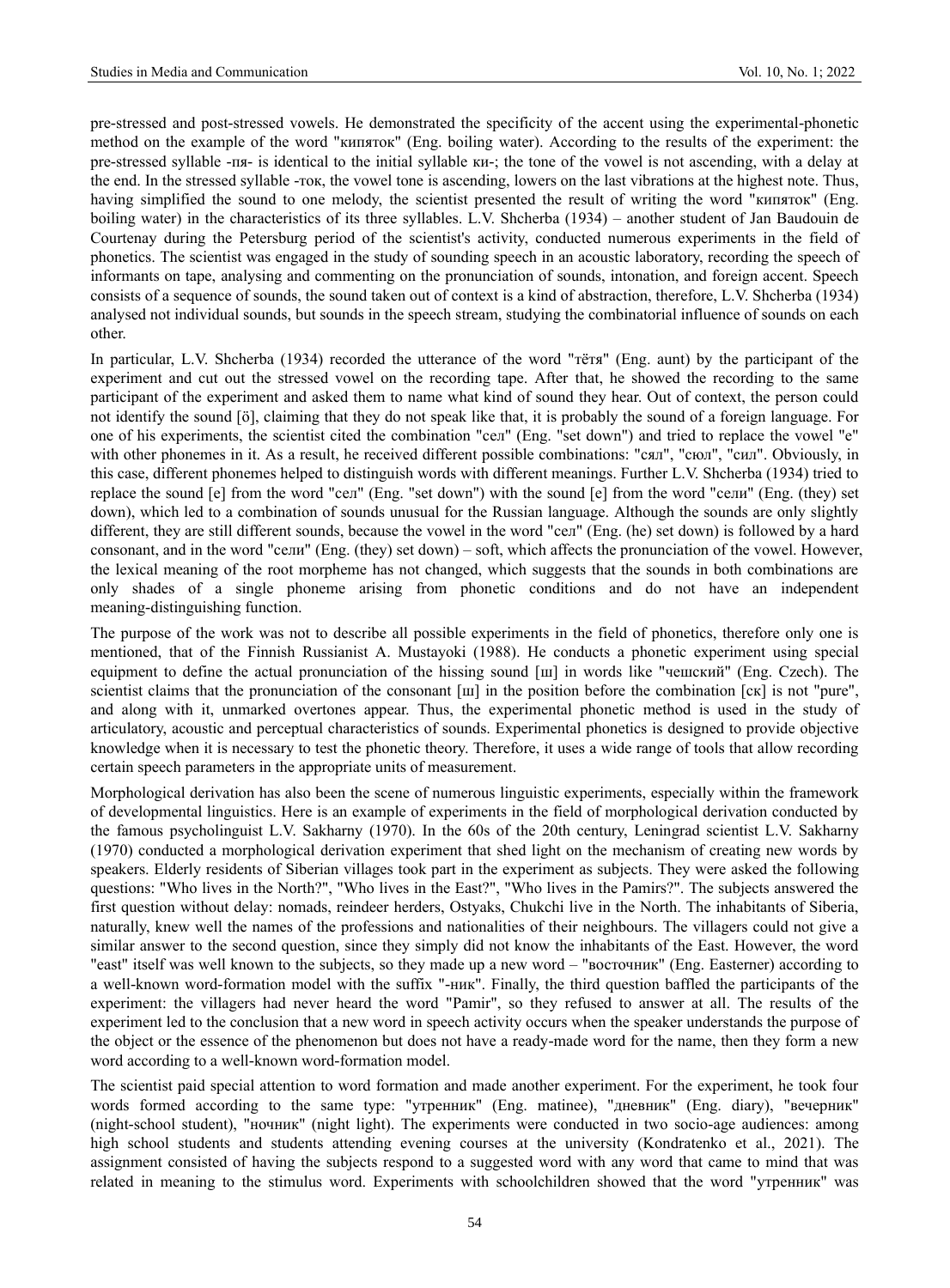pre-stressed and post-stressed vowels. He demonstrated the specificity of the accent using the experimental-phonetic method on the example of the word "кипяток" (Eng. boiling water). According to the results of the experiment: the pre-stressed syllable -пя- is identical to the initial syllable ки-; the tone of the vowel is not ascending, with a delay at the end. In the stressed syllable -ток, the vowel tone is ascending, lowers on the last vibrations at the highest note. Thus, having simplified the sound to one melody, the scientist presented the result of writing the word "кипяток" (Eng. boiling water) in the characteristics of its three syllables. L.V. Shcherba (1934) – another student of Jan Baudouin de Courtenay during the Petersburg period of the scientist's activity, conducted numerous experiments in the field of phonetics. The scientist was engaged in the study of sounding speech in an acoustic laboratory, recording the speech of informants on tape, analysing and commenting on the pronunciation of sounds, intonation, and foreign accent. Speech consists of a sequence of sounds, the sound taken out of context is a kind of abstraction, therefore, L.V. Shcherba (1934) analysed not individual sounds, but sounds in the speech stream, studying the combinatorial influence of sounds on each other.

In particular, L.V. Shcherba (1934) recorded the utterance of the word "тётя" (Eng. aunt) by the participant of the experiment and cut out the stressed vowel on the recording tape. After that, he showed the recording to the same participant of the experiment and asked them to name what kind of sound they hear. Out of context, the person could not identify the sound [ö], claiming that they do not speak like that, it is probably the sound of a foreign language. For one of his experiments, the scientist cited the combination "сел" (Eng. "set down") and tried to replace the vowel "e" with other phonemes in it. As a result, he received different possible combinations: "сял", "сюл", "сил". Obviously, in this case, different phonemes helped to distinguish words with different meanings. Further L.V. Shcherba (1934) tried to replace the sound [e] from the word "сел" (Eng. "set down") with the sound [e] from the word "сели" (Eng. (they) set down), which led to a combination of sounds unusual for the Russian language. Although the sounds are only slightly different, they are still different sounds, because the vowel in the word "сел" (Eng. (he) set down) is followed by a hard consonant, and in the word "сели" (Eng. (they) set down) – soft, which affects the pronunciation of the vowel. However, the lexical meaning of the root morpheme has not changed, which suggests that the sounds in both combinations are only shades of a single phoneme arising from phonetic conditions and do not have an independent meaning-distinguishing function.

The purpose of the work was not to describe all possible experiments in the field of phonetics, therefore only one is mentioned, that of the Finnish Russianist A. Mustayoki (1988). He conducts a phonetic experiment using special equipment to define the actual pronunciation of the hissing sound [ш] in words like "чешский" (Eng. Czech). The scientist claims that the pronunciation of the consonant [ш] in the position before the combination [ck] is not "pure", and along with it, unmarked overtones appear. Thus, the experimental phonetic method is used in the study of articulatory, acoustic and perceptual characteristics of sounds. Experimental phonetics is designed to provide objective knowledge when it is necessary to test the phonetic theory. Therefore, it uses a wide range of tools that allow recording certain speech parameters in the appropriate units of measurement.

Morphological derivation has also been the scene of numerous linguistic experiments, especially within the framework of developmental linguistics. Here is an example of experiments in the field of morphological derivation conducted by the famous psycholinguist L.V. Sakharny (1970). In the 60s of the 20th century, Leningrad scientist L.V. Sakharny (1970) conducted a morphological derivation experiment that shed light on the mechanism of creating new words by speakers. Elderly residents of Siberian villages took part in the experiment as subjects. They were asked the following questions: "Who lives in the North?", "Who lives in the East?", "Who lives in the Pamirs?". The subjects answered the first question without delay: nomads, reindeer herders, Ostyaks, Chukchi live in the North. The inhabitants of Siberia, naturally, knew well the names of the professions and nationalities of their neighbours. The villagers could not give a similar answer to the second question, since they simply did not know the inhabitants of the East. However, the word "east" itself was well known to the subjects, so they made up a new word – "восточник" (Eng. Easterner) according to a well-known word-formation model with the suffix "-ник". Finally, the third question baffled the participants of the experiment: the villagers had never heard the word "Pamir", so they refused to answer at all. The results of the experiment led to the conclusion that a new word in speech activity occurs when the speaker understands the purpose of the object or the essence of the phenomenon but does not have a ready-made word for the name, then they form a new word according to a well-known word-formation model.

The scientist paid special attention to word formation and made another experiment. For the experiment, he took four words formed according to the same type: "утренник" (Eng. matinee), "дневник" (Eng. diary), "вечерник" (night-school student), "ночник" (night light). The experiments were conducted in two socio-age audiences: among high school students and students attending evening courses at the university (Kondratenko et al., 2021). The assignment consisted of having the subjects respond to a suggested word with any word that came to mind that was related in meaning to the stimulus word. Experiments with schoolchildren showed that the word "утренник" was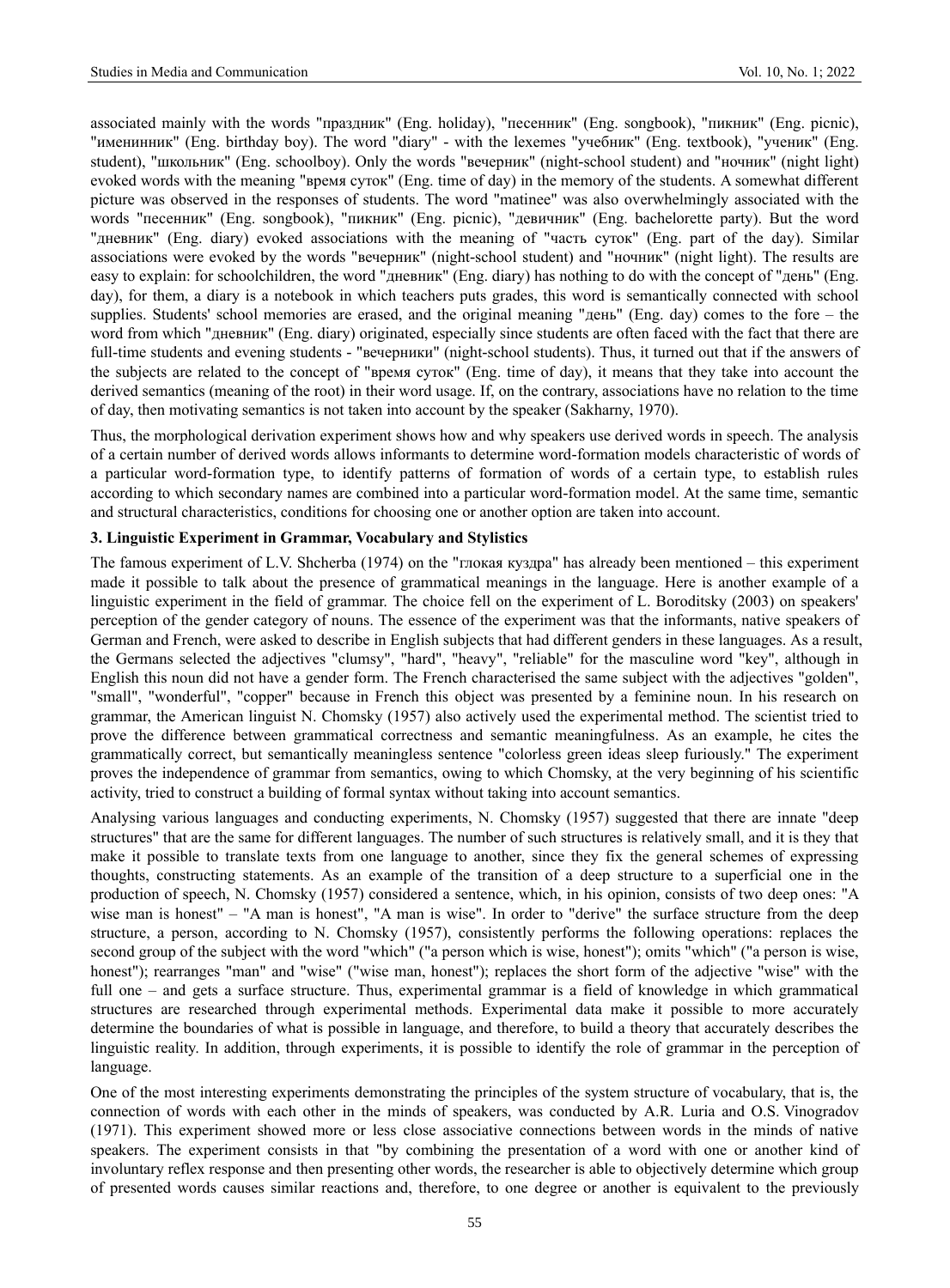associated mainly with the words "праздник" (Eng. holiday), "песенник" (Eng. songbook), "пикник" (Eng. picnic), "именинник" (Eng. birthday boy). The word "diary" - with the lexemes "учебник" (Eng. textbook), "ученик" (Eng. student), "школьник" (Eng. schoolboy). Only the words "вечерник" (night-school student) and "ночник" (night light) evoked words with the meaning "время суток" (Eng. time of day) in the memory of the students. A somewhat different picture was observed in the responses of students. The word "matinee" was also overwhelmingly associated with the words "песенник" (Eng. songbook), "пикник" (Eng. picnic), "девичник" (Eng. bachelorette party). But the word "дневник" (Eng. diary) evoked associations with the meaning of "часть суток" (Eng. part of the day). Similar associations were evoked by the words "вечерник" (night-school student) and "ночник" (night light). The results are easy to explain: for schoolchildren, the word "дневник" (Eng. diary) has nothing to do with the concept of "день" (Eng. day), for them, a diary is a notebook in which teachers puts grades, this word is semantically connected with school supplies. Students' school memories are erased, and the original meaning "день" (Eng. day) comes to the fore – the word from which "дневник" (Eng. diary) originated, especially since students are often faced with the fact that there are full-time students and evening students - "вечерники" (night-school students). Thus, it turned out that if the answers of the subjects are related to the concept of "время суток" (Eng. time of day), it means that they take into account the derived semantics (meaning of the root) in their word usage. If, on the contrary, associations have no relation to the time of day, then motivating semantics is not taken into account by the speaker (Sakharny, 1970).

Thus, the morphological derivation experiment shows how and why speakers use derived words in speech. The analysis of a certain number of derived words allows informants to determine word-formation models characteristic of words of a particular word-formation type, to identify patterns of formation of words of a certain type, to establish rules according to which secondary names are combined into a particular word-formation model. At the same time, semantic and structural characteristics, conditions for choosing one or another option are taken into account.

### **3. Linguistic Experiment in Grammar, Vocabulary and Stylistics**

The famous experiment of L.V. Shcherba (1974) on the "глокая куздра" has already been mentioned – this experiment made it possible to talk about the presence of grammatical meanings in the language. Here is another example of a linguistic experiment in the field of grammar. The choice fell on the experiment of L. Boroditsky (2003) on speakers' perception of the gender category of nouns. The essence of the experiment was that the informants, native speakers of German and French, were asked to describe in English subjects that had different genders in these languages. As a result, the Germans selected the adjectives "clumsy", "hard", "heavy", "reliable" for the masculine word "key", although in English this noun did not have a gender form. The French characterised the same subject with the adjectives "golden", "small", "wonderful", "copper" because in French this object was presented by a feminine noun. In his research on grammar, the American linguist N. Chomsky (1957) also actively used the experimental method. The scientist tried to prove the difference between grammatical correctness and semantic meaningfulness. As an example, he cites the grammatically correct, but semantically meaningless sentence "colorless green ideas sleep furiously." The experiment proves the independence of grammar from semantics, owing to which Chomsky, at the very beginning of his scientific activity, tried to construct a building of formal syntax without taking into account semantics.

Analysing various languages and conducting experiments, N. Chomsky (1957) suggested that there are innate "deep structures" that are the same for different languages. The number of such structures is relatively small, and it is they that make it possible to translate texts from one language to another, since they fix the general schemes of expressing thoughts, constructing statements. As an example of the transition of a deep structure to a superficial one in the production of speech, N. Chomsky (1957) considered a sentence, which, in his opinion, consists of two deep ones: "A wise man is honest" – "A man is honest", "A man is wise". In order to "derive" the surface structure from the deep structure, a person, according to N. Chomsky (1957), consistently performs the following operations: replaces the second group of the subject with the word "which" ("a person which is wise, honest"); omits "which" ("a person is wise, honest"); rearranges "man" and "wise" ("wise man, honest"); replaces the short form of the adjective "wise" with the full one – and gets a surface structure. Thus, experimental grammar is a field of knowledge in which grammatical structures are researched through experimental methods. Experimental data make it possible to more accurately determine the boundaries of what is possible in language, and therefore, to build a theory that accurately describes the linguistic reality. In addition, through experiments, it is possible to identify the role of grammar in the perception of language.

One of the most interesting experiments demonstrating the principles of the system structure of vocabulary, that is, the connection of words with each other in the minds of speakers, was conducted by A.R. Luria and O.S. Vinogradov (1971). This experiment showed more or less close associative connections between words in the minds of native speakers. The experiment consists in that "by combining the presentation of a word with one or another kind of involuntary reflex response and then presenting other words, the researcher is able to objectively determine which group of presented words causes similar reactions and, therefore, to one degree or another is equivalent to the previously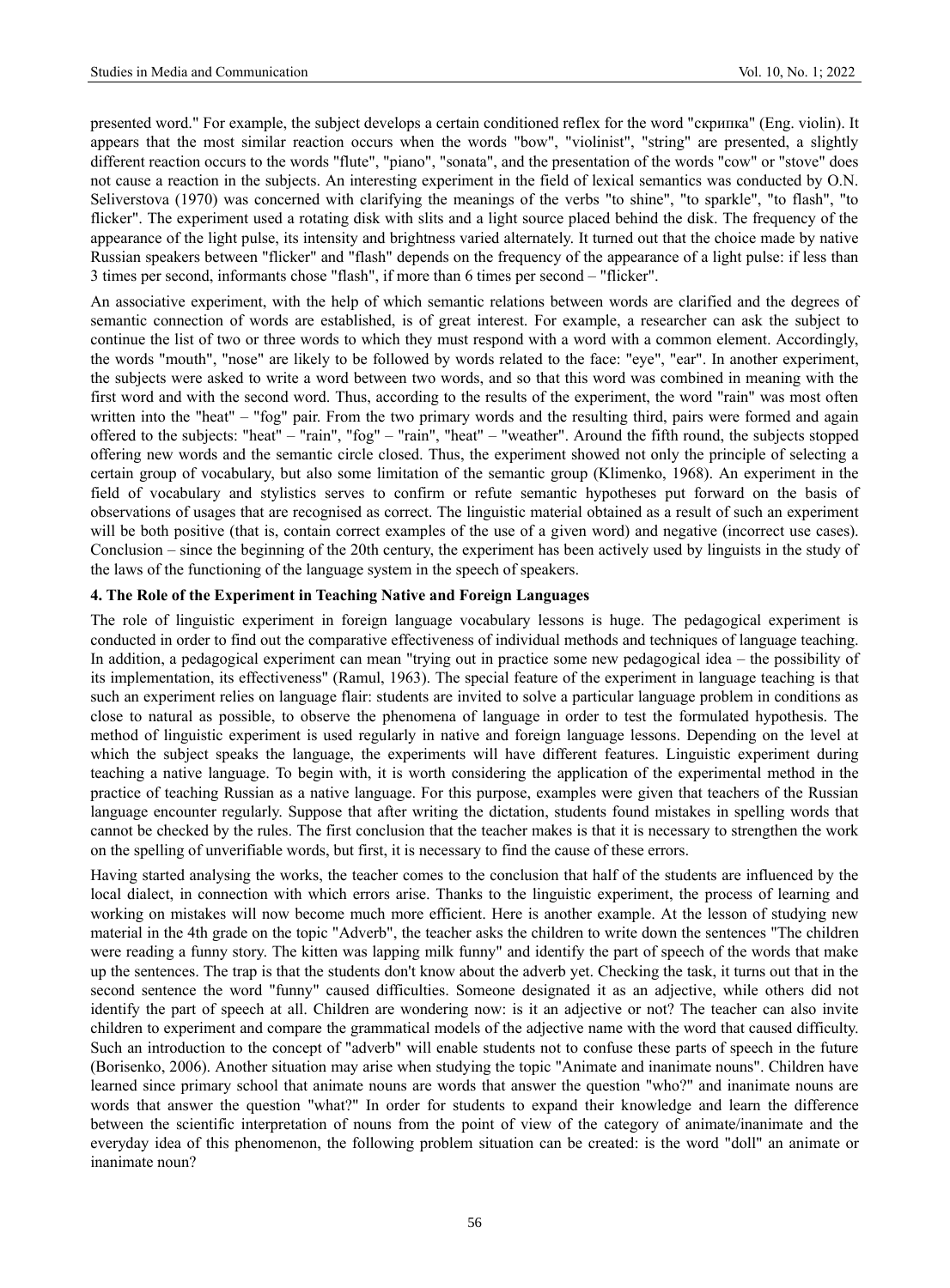presented word." For example, the subject develops a certain conditioned reflex for the word "скрипка" (Eng. violin). It appears that the most similar reaction occurs when the words "bow", "violinist", "string" are presented, a slightly different reaction occurs to the words "flute", "piano", "sonata", and the presentation of the words "cow" or "stove" does not cause a reaction in the subjects. An interesting experiment in the field of lexical semantics was conducted by O.N. Seliverstova (1970) was concerned with clarifying the meanings of the verbs "to shine", "to sparkle", "to flash", "to flicker". The experiment used a rotating disk with slits and a light source placed behind the disk. The frequency of the appearance of the light pulse, its intensity and brightness varied alternately. It turned out that the choice made by native Russian speakers between "flicker" and "flash" depends on the frequency of the appearance of a light pulse: if less than 3 times per second, informants chose "flash", if more than 6 times per second – "flicker".

An associative experiment, with the help of which semantic relations between words are clarified and the degrees of semantic connection of words are established, is of great interest. For example, a researcher can ask the subject to continue the list of two or three words to which they must respond with a word with a common element. Accordingly, the words "mouth", "nose" are likely to be followed by words related to the face: "eye", "ear". In another experiment, the subjects were asked to write a word between two words, and so that this word was combined in meaning with the first word and with the second word. Thus, according to the results of the experiment, the word "rain" was most often written into the "heat" – "fog" pair. From the two primary words and the resulting third, pairs were formed and again offered to the subjects: "heat" – "rain", "fog" – "rain", "heat" – "weather". Around the fifth round, the subjects stopped offering new words and the semantic circle closed. Thus, the experiment showed not only the principle of selecting a certain group of vocabulary, but also some limitation of the semantic group (Klimenko, 1968). An experiment in the field of vocabulary and stylistics serves to confirm or refute semantic hypotheses put forward on the basis of observations of usages that are recognised as correct. The linguistic material obtained as a result of such an experiment will be both positive (that is, contain correct examples of the use of a given word) and negative (incorrect use cases). Conclusion – since the beginning of the 20th century, the experiment has been actively used by linguists in the study of the laws of the functioning of the language system in the speech of speakers.

# **4. The Role of the Experiment in Teaching Native and Foreign Languages**

The role of linguistic experiment in foreign language vocabulary lessons is huge. The pedagogical experiment is conducted in order to find out the comparative effectiveness of individual methods and techniques of language teaching. In addition, a pedagogical experiment can mean "trying out in practice some new pedagogical idea – the possibility of its implementation, its effectiveness" (Ramul, 1963). The special feature of the experiment in language teaching is that such an experiment relies on language flair: students are invited to solve a particular language problem in conditions as close to natural as possible, to observe the phenomena of language in order to test the formulated hypothesis. The method of linguistic experiment is used regularly in native and foreign language lessons. Depending on the level at which the subject speaks the language, the experiments will have different features. Linguistic experiment during teaching a native language. To begin with, it is worth considering the application of the experimental method in the practice of teaching Russian as a native language. For this purpose, examples were given that teachers of the Russian language encounter regularly. Suppose that after writing the dictation, students found mistakes in spelling words that cannot be checked by the rules. The first conclusion that the teacher makes is that it is necessary to strengthen the work on the spelling of unverifiable words, but first, it is necessary to find the cause of these errors.

Having started analysing the works, the teacher comes to the conclusion that half of the students are influenced by the local dialect, in connection with which errors arise. Thanks to the linguistic experiment, the process of learning and working on mistakes will now become much more efficient. Here is another example. At the lesson of studying new material in the 4th grade on the topic "Adverb", the teacher asks the children to write down the sentences "The children were reading a funny story. The kitten was lapping milk funny" and identify the part of speech of the words that make up the sentences. The trap is that the students don't know about the adverb yet. Checking the task, it turns out that in the second sentence the word "funny" caused difficulties. Someone designated it as an adjective, while others did not identify the part of speech at all. Children are wondering now: is it an adjective or not? The teacher can also invite children to experiment and compare the grammatical models of the adjective name with the word that caused difficulty. Such an introduction to the concept of "adverb" will enable students not to confuse these parts of speech in the future (Borisenko, 2006). Another situation may arise when studying the topic "Animate and inanimate nouns". Children have learned since primary school that animate nouns are words that answer the question "who?" and inanimate nouns are words that answer the question "what?" In order for students to expand their knowledge and learn the difference between the scientific interpretation of nouns from the point of view of the category of animate/inanimate and the everyday idea of this phenomenon, the following problem situation can be created: is the word "doll" an animate or inanimate noun?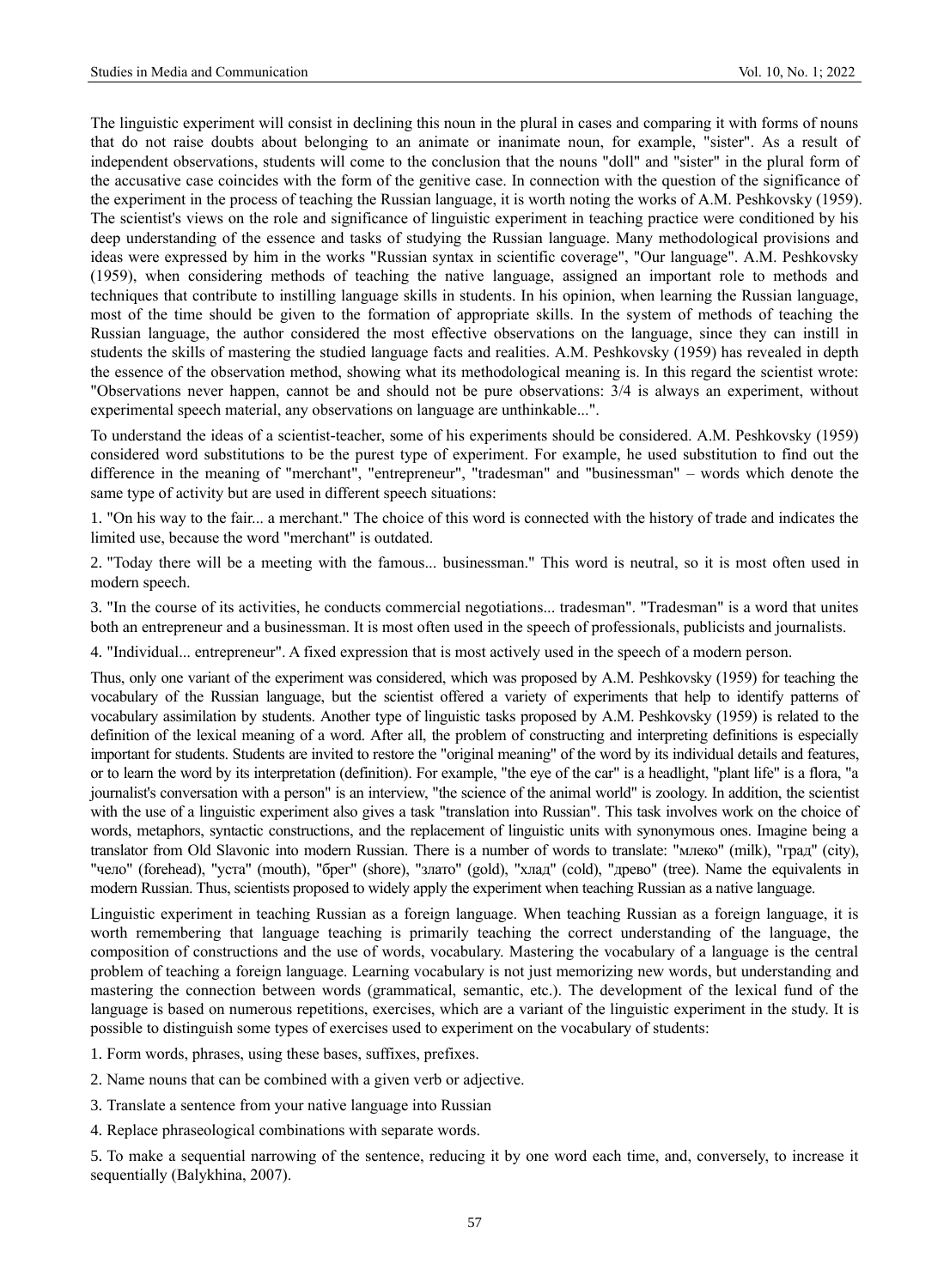The linguistic experiment will consist in declining this noun in the plural in cases and comparing it with forms of nouns that do not raise doubts about belonging to an animate or inanimate noun, for example, "sister". As a result of independent observations, students will come to the conclusion that the nouns "doll" and "sister" in the plural form of the accusative case coincides with the form of the genitive case. In connection with the question of the significance of the experiment in the process of teaching the Russian language, it is worth noting the works of A.M. Peshkovsky (1959). The scientist's views on the role and significance of linguistic experiment in teaching practice were conditioned by his deep understanding of the essence and tasks of studying the Russian language. Many methodological provisions and ideas were expressed by him in the works "Russian syntax in scientific coverage", "Our language". A.M. Peshkovsky (1959), when considering methods of teaching the native language, assigned an important role to methods and techniques that contribute to instilling language skills in students. In his opinion, when learning the Russian language, most of the time should be given to the formation of appropriate skills. In the system of methods of teaching the Russian language, the author considered the most effective observations on the language, since they can instill in students the skills of mastering the studied language facts and realities. A.M. Peshkovsky (1959) has revealed in depth the essence of the observation method, showing what its methodological meaning is. In this regard the scientist wrote: "Observations never happen, cannot be and should not be pure observations: 3/4 is always an experiment, without experimental speech material, any observations on language are unthinkable...".

To understand the ideas of a scientist-teacher, some of his experiments should be considered. A.M. Peshkovsky (1959) considered word substitutions to be the purest type of experiment. For example, he used substitution to find out the difference in the meaning of "merchant", "entrepreneur", "tradesman" and "businessman" – words which denote the same type of activity but are used in different speech situations:

1. "On his way to the fair... a merchant." The choice of this word is connected with the history of trade and indicates the limited use, because the word "merchant" is outdated.

2. "Today there will be a meeting with the famous... businessman." This word is neutral, so it is most often used in modern speech.

3. "In the course of its activities, he conducts commercial negotiations... tradesman". "Tradesman" is a word that unites both an entrepreneur and a businessman. It is most often used in the speech of professionals, publicists and journalists.

4. "Individual... entrepreneur". A fixed expression that is most actively used in the speech of a modern person.

Thus, only one variant of the experiment was considered, which was proposed by A.M. Peshkovsky (1959) for teaching the vocabulary of the Russian language, but the scientist offered a variety of experiments that help to identify patterns of vocabulary assimilation by students. Another type of linguistic tasks proposed by A.M. Peshkovsky (1959) is related to the definition of the lexical meaning of a word. After all, the problem of constructing and interpreting definitions is especially important for students. Students are invited to restore the "original meaning" of the word by its individual details and features, or to learn the word by its interpretation (definition). For example, "the eye of the car" is a headlight, "plant life" is a flora, "a journalist's conversation with a person" is an interview, "the science of the animal world" is zoology. In addition, the scientist with the use of a linguistic experiment also gives a task "translation into Russian". This task involves work on the choice of words, metaphors, syntactic constructions, and the replacement of linguistic units with synonymous ones. Imagine being a translator from Old Slavonic into modern Russian. There is a number of words to translate: "млеко" (milk), "град" (city), "чело" (forehead), "уста" (mouth), "брег" (shore), "злато" (gold), "хлад" (cold), "древо" (tree). Name the equivalents in modern Russian. Thus, scientists proposed to widely apply the experiment when teaching Russian as a native language.

Linguistic experiment in teaching Russian as a foreign language. When teaching Russian as a foreign language, it is worth remembering that language teaching is primarily teaching the correct understanding of the language, the composition of constructions and the use of words, vocabulary. Mastering the vocabulary of a language is the central problem of teaching a foreign language. Learning vocabulary is not just memorizing new words, but understanding and mastering the connection between words (grammatical, semantic, etc.). The development of the lexical fund of the language is based on numerous repetitions, exercises, which are a variant of the linguistic experiment in the study. It is possible to distinguish some types of exercises used to experiment on the vocabulary of students:

1. Form words, phrases, using these bases, suffixes, prefixes.

2. Name nouns that can be combined with a given verb or adjective.

3. Translate a sentence from your native language into Russian

4. Replace phraseological combinations with separate words.

5. To make a sequential narrowing of the sentence, reducing it by one word each time, and, conversely, to increase it sequentially (Balykhina, 2007).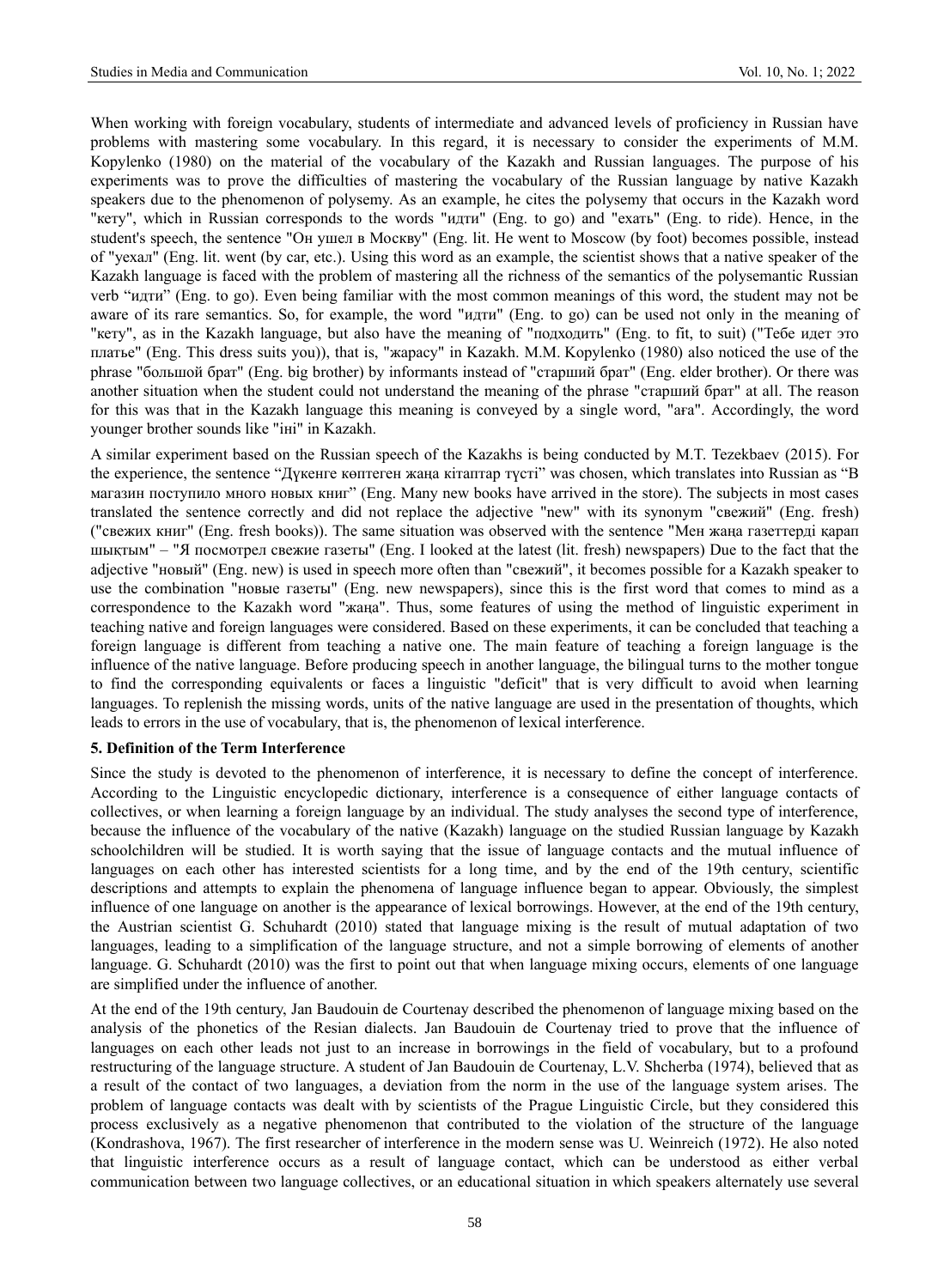When working with foreign vocabulary, students of intermediate and advanced levels of proficiency in Russian have problems with mastering some vocabulary. In this regard, it is necessary to consider the experiments of M.M. Kopylenko (1980) on the material of the vocabulary of the Kazakh and Russian languages. The purpose of his experiments was to prove the difficulties of mastering the vocabulary of the Russian language by native Kazakh speakers due to the phenomenon of polysemy. As an example, he cites the polysemy that occurs in the Kazakh word "кету", which in Russian corresponds to the words "идти" (Eng. to go) and "ехать" (Eng. to ride). Hence, in the student's speech, the sentence "Он ушел в Москву" (Eng. lit. He went to Moscow (by foot) becomes possible, instead of "уехал" (Eng. lit. went (by car, etc.). Using this word as an example, the scientist shows that a native speaker of the Kazakh language is faced with the problem of mastering all the richness of the semantics of the polysemantic Russian verb "идти" (Eng. to go). Even being familiar with the most common meanings of this word, the student may not be aware of its rare semantics. So, for example, the word "идти" (Eng. to go) can be used not only in the meaning of "кету", as in the Kazakh language, but also have the meaning of "подходить" (Eng. to fit, to suit) ("Тебе идет это платье" (Eng. This dress suits you)), that is, "жарасу" in Kazakh. M.M. Kopylenko (1980) also noticed the use of the phrase "большой брат" (Eng. big brother) by informants instead of "старший брат" (Eng. elder brother). Or there was another situation when the student could not understand the meaning of the phrase "старший брат" at all. The reason for this was that in the Kazakh language this meaning is conveyed by a single word, "аға". Accordingly, the word younger brother sounds like "іні" in Kazakh.

A similar experiment based on the Russian speech of the Kazakhs is being conducted by M.T. Tezekbaev (2015). For the experience, the sentence "Дүкенге көптеген жаңа кітаптар түсті" was chosen, which translates into Russian as "В магазин поступило много новых книг" (Eng. Many new books have arrived in the store). The subjects in most cases translated the sentence correctly and did not replace the adjective "new" with its synonym "свежий" (Eng. fresh) ("свежих книг" (Eng. fresh books)). The same situation was observed with the sentence "Мен жаңа газеттерді қарап шықтым" – "Я посмотрел свежие газеты" (Eng. I looked at the latest (lit. fresh) newspapers) Due to the fact that the adjective "новый" (Eng. new) is used in speech more often than "свежий", it becomes possible for a Kazakh speaker to use the combination "новые газеты" (Eng. new newspapers), since this is the first word that comes to mind as a correspondence to the Kazakh word "жаңа". Thus, some features of using the method of linguistic experiment in teaching native and foreign languages were considered. Based on these experiments, it can be concluded that teaching a foreign language is different from teaching a native one. The main feature of teaching a foreign language is the influence of the native language. Before producing speech in another language, the bilingual turns to the mother tongue to find the corresponding equivalents or faces a linguistic "deficit" that is very difficult to avoid when learning languages. To replenish the missing words, units of the native language are used in the presentation of thoughts, which leads to errors in the use of vocabulary, that is, the phenomenon of lexical interference.

# **5. Definition of the Term Interference**

Since the study is devoted to the phenomenon of interference, it is necessary to define the concept of interference. According to the Linguistic encyclopedic dictionary, interference is a consequence of either language contacts of collectives, or when learning a foreign language by an individual. The study analyses the second type of interference, because the influence of the vocabulary of the native (Kazakh) language on the studied Russian language by Kazakh schoolchildren will be studied. It is worth saying that the issue of language contacts and the mutual influence of languages on each other has interested scientists for a long time, and by the end of the 19th century, scientific descriptions and attempts to explain the phenomena of language influence began to appear. Obviously, the simplest influence of one language on another is the appearance of lexical borrowings. However, at the end of the 19th century, the Austrian scientist G. Schuhardt (2010) stated that language mixing is the result of mutual adaptation of two languages, leading to a simplification of the language structure, and not a simple borrowing of elements of another language. G. Schuhardt (2010) was the first to point out that when language mixing occurs, elements of one language are simplified under the influence of another.

At the end of the 19th century, Jan Baudouin de Courtenay described the phenomenon of language mixing based on the analysis of the phonetics of the Resian dialects. Jan Baudouin de Courtenay tried to prove that the influence of languages on each other leads not just to an increase in borrowings in the field of vocabulary, but to a profound restructuring of the language structure. A student of Jan Baudouin de Courtenay, L.V. Shcherba (1974), believed that as a result of the contact of two languages, a deviation from the norm in the use of the language system arises. The problem of language contacts was dealt with by scientists of the Prague Linguistic Circle, but they considered this process exclusively as a negative phenomenon that contributed to the violation of the structure of the language (Kondrashova, 1967). The first researcher of interference in the modern sense was U. Weinreich (1972). He also noted that linguistic interference occurs as a result of language contact, which can be understood as either verbal communication between two language collectives, or an educational situation in which speakers alternately use several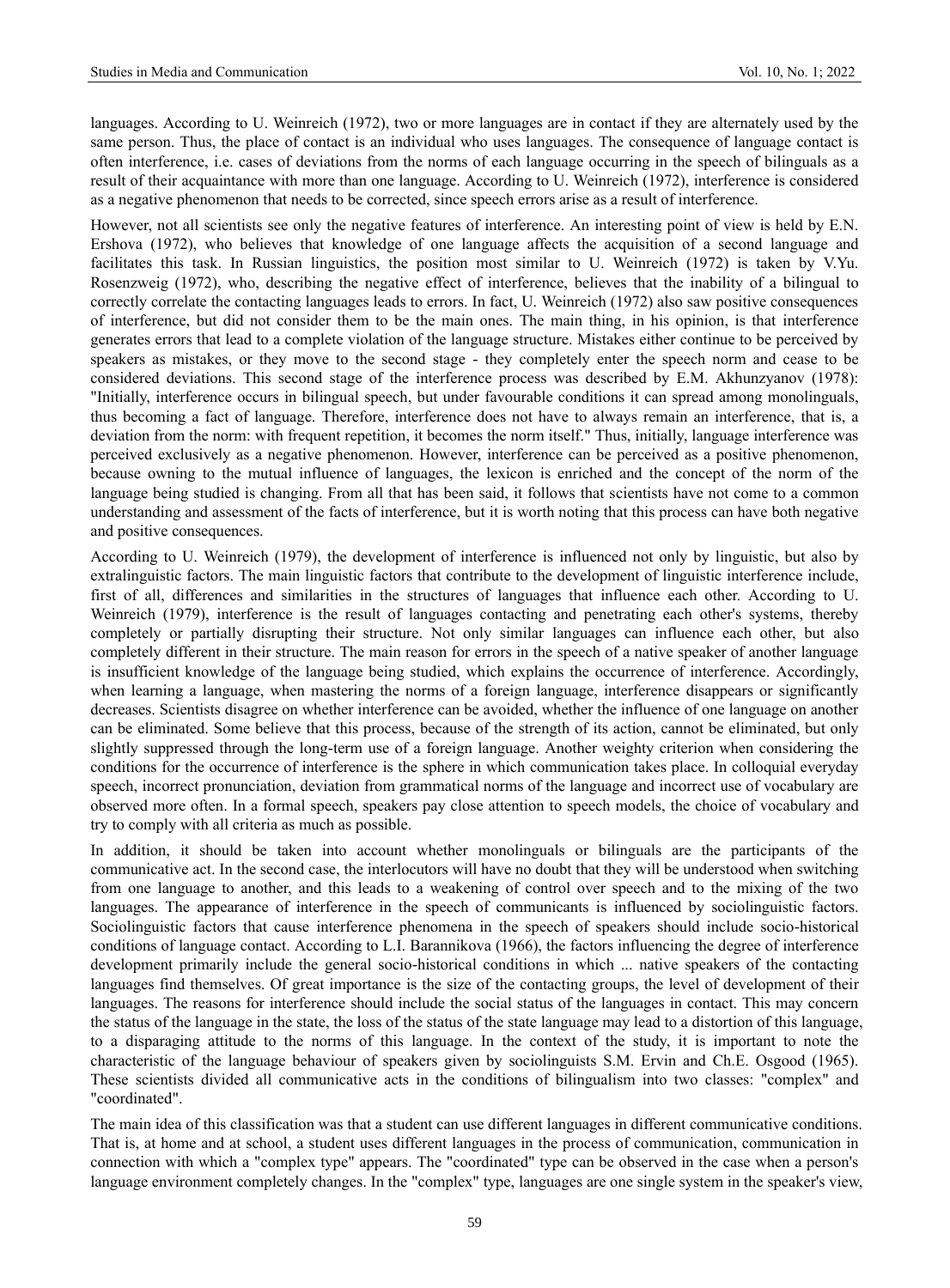languages. According to U. Weinreich (1972), two or more languages are in contact if they are alternately used by the same person. Thus, the place of contact is an individual who uses languages. The consequence of language contact is often interference, i.e. cases of deviations from the norms of each language occurring in the speech of bilinguals as a result of their acquaintance with more than one language. According to U. Weinreich (1972), interference is considered as a negative phenomenon that needs to be corrected, since speech errors arise as a result of interference.

However, not all scientists see only the negative features of interference. An interesting point of view is held by E.N. Ershova (1972), who believes that knowledge of one language affects the acquisition of a second language and facilitates this task. In Russian linguistics, the position most similar to U. Weinreich (1972) is taken by V.Yu. Rosenzweig (1972), who, describing the negative effect of interference, believes that the inability of a bilingual to correctly correlate the contacting languages leads to errors. In fact, U. Weinreich (1972) also saw positive consequences of interference, but did not consider them to be the main ones. The main thing, in his opinion, is that interference generates errors that lead to a complete violation of the language structure. Mistakes either continue to be perceived by speakers as mistakes, or they move to the second stage - they completely enter the speech norm and cease to be considered deviations. This second stage of the interference process was described by E.M. Akhunzyanov (1978): "Initially, interference occurs in bilingual speech, but under favourable conditions it can spread among monolinguals, thus becoming a fact of language. Therefore, interference does not have to always remain an interference, that is, a deviation from the norm: with frequent repetition, it becomes the norm itself." Thus, initially, language interference was perceived exclusively as a negative phenomenon. However, interference can be perceived as a positive phenomenon, because owning to the mutual influence of languages, the lexicon is enriched and the concept of the norm of the language being studied is changing. From all that has been said, it follows that scientists have not come to a common understanding and assessment of the facts of interference, but it is worth noting that this process can have both negative and positive consequences.

According to U. Weinreich (1979), the development of interference is influenced not only by linguistic, but also by extralinguistic factors. The main linguistic factors that contribute to the development of linguistic interference include, first of all, differences and similarities in the structures of languages that influence each other. According to U. Weinreich (1979), interference is the result of languages contacting and penetrating each other's systems, thereby completely or partially disrupting their structure. Not only similar languages can influence each other, but also completely different in their structure. The main reason for errors in the speech of a native speaker of another language is insufficient knowledge of the language being studied, which explains the occurrence of interference. Accordingly, when learning a language, when mastering the norms of a foreign language, interference disappears or significantly decreases. Scientists disagree on whether interference can be avoided, whether the influence of one language on another can be eliminated. Some believe that this process, because of the strength of its action, cannot be eliminated, but only slightly suppressed through the long-term use of a foreign language. Another weighty criterion when considering the conditions for the occurrence of interference is the sphere in which communication takes place. In colloquial everyday speech, incorrect pronunciation, deviation from grammatical norms of the language and incorrect use of vocabulary are observed more often. In a formal speech, speakers pay close attention to speech models, the choice of vocabulary and try to comply with all criteria as much as possible.

In addition, it should be taken into account whether monolinguals or bilinguals are the participants of the communicative act. In the second case, the interlocutors will have no doubt that they will be understood when switching from one language to another, and this leads to a weakening of control over speech and to the mixing of the two languages. The appearance of interference in the speech of communicants is influenced by sociolinguistic factors. Sociolinguistic factors that cause interference phenomena in the speech of speakers should include socio-historical conditions of language contact. According to L.I. Barannikova (1966), the factors influencing the degree of interference development primarily include the general socio-historical conditions in which ... native speakers of the contacting languages find themselves. Of great importance is the size of the contacting groups, the level of development of their languages. The reasons for interference should include the social status of the languages in contact. This may concern the status of the language in the state, the loss of the status of the state language may lead to a distortion of this language, to a disparaging attitude to the norms of this language. In the context of the study, it is important to note the characteristic of the language behaviour of speakers given by sociolinguists S.M. Ervin and Ch.E. Osgood (1965). These scientists divided all communicative acts in the conditions of bilingualism into two classes: "complex" and "coordinated".

The main idea of this classification was that a student can use different languages in different communicative conditions. That is, at home and at school, a student uses different languages in the process of communication, communication in connection with which a "complex type" appears. The "coordinated" type can be observed in the case when a person's language environment completely changes. In the "complex" type, languages are one single system in the speaker's view,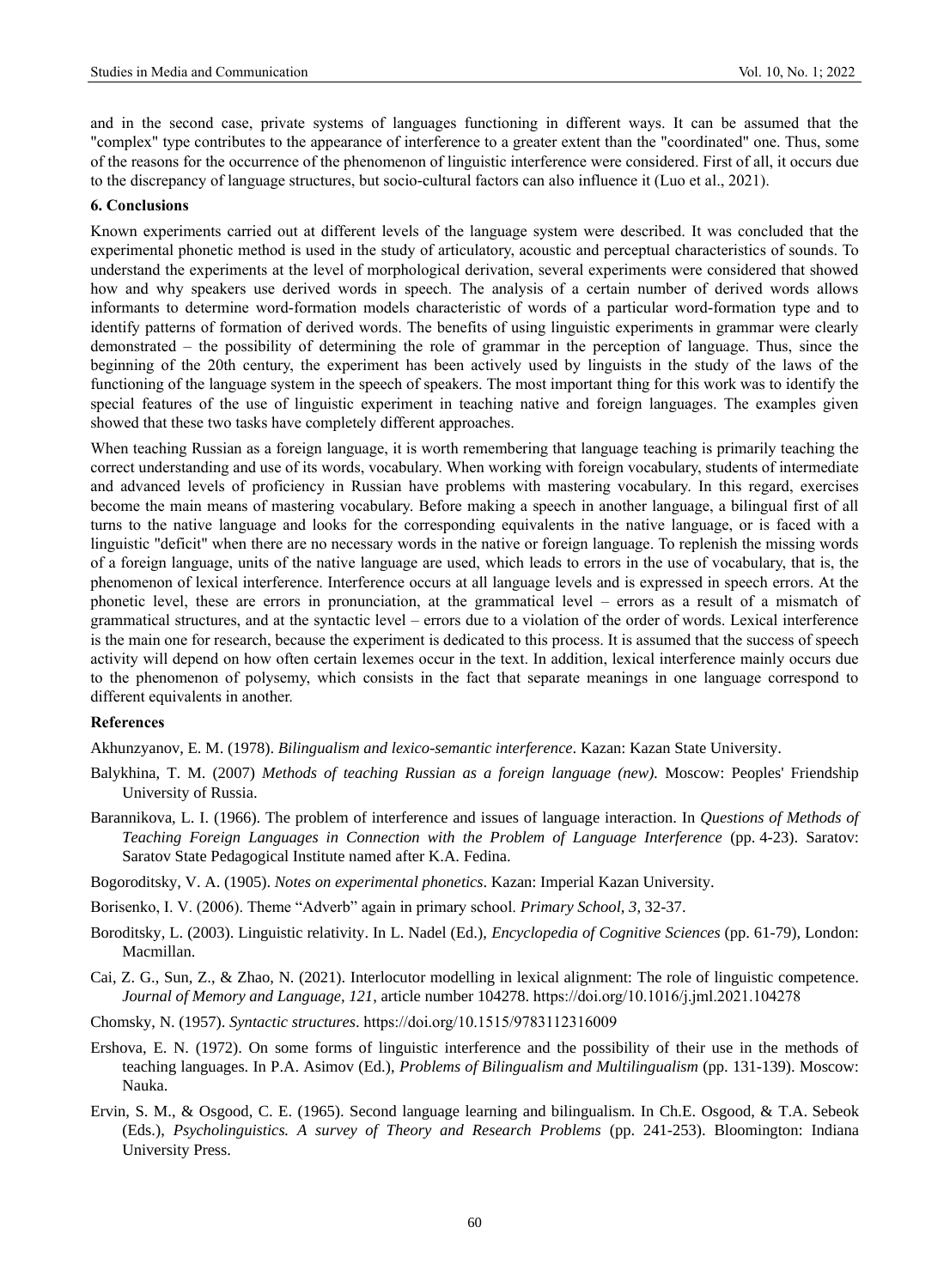and in the second case, private systems of languages functioning in different ways. It can be assumed that the "complex" type contributes to the appearance of interference to a greater extent than the "coordinated" one. Thus, some of the reasons for the occurrence of the phenomenon of linguistic interference were considered. First of all, it occurs due to the discrepancy of language structures, but socio-cultural factors can also influence it (Luo et al., 2021).

#### **6. Conclusions**

Known experiments carried out at different levels of the language system were described. It was concluded that the experimental phonetic method is used in the study of articulatory, acoustic and perceptual characteristics of sounds. To understand the experiments at the level of morphological derivation, several experiments were considered that showed how and why speakers use derived words in speech. The analysis of a certain number of derived words allows informants to determine word-formation models characteristic of words of a particular word-formation type and to identify patterns of formation of derived words. The benefits of using linguistic experiments in grammar were clearly demonstrated – the possibility of determining the role of grammar in the perception of language. Thus, since the beginning of the 20th century, the experiment has been actively used by linguists in the study of the laws of the functioning of the language system in the speech of speakers. The most important thing for this work was to identify the special features of the use of linguistic experiment in teaching native and foreign languages. The examples given showed that these two tasks have completely different approaches.

When teaching Russian as a foreign language, it is worth remembering that language teaching is primarily teaching the correct understanding and use of its words, vocabulary. When working with foreign vocabulary, students of intermediate and advanced levels of proficiency in Russian have problems with mastering vocabulary. In this regard, exercises become the main means of mastering vocabulary. Before making a speech in another language, a bilingual first of all turns to the native language and looks for the corresponding equivalents in the native language, or is faced with a linguistic "deficit" when there are no necessary words in the native or foreign language. To replenish the missing words of a foreign language, units of the native language are used, which leads to errors in the use of vocabulary, that is, the phenomenon of lexical interference. Interference occurs at all language levels and is expressed in speech errors. At the phonetic level, these are errors in pronunciation, at the grammatical level – errors as a result of a mismatch of grammatical structures, and at the syntactic level – errors due to a violation of the order of words. Lexical interference is the main one for research, because the experiment is dedicated to this process. It is assumed that the success of speech activity will depend on how often certain lexemes occur in the text. In addition, lexical interference mainly occurs due to the phenomenon of polysemy, which consists in the fact that separate meanings in one language correspond to different equivalents in another.

# **References**

Akhunzyanov, E. M. (1978). *Bilingualism and lexico-semantic interference*. Kazan: Kazan State University.

- Balykhina, T. M. (2007) *Methods of teaching Russian as a foreign language (new).* Moscow: Peoples' Friendship University of Russia.
- Barannikova, L. I. (1966). The problem of interference and issues of language interaction. In *Questions of Methods of Teaching Foreign Languages in Connection with the Problem of Language Interference* (pp. 4-23). Saratov: Saratov State Pedagogical Institute named after K.A. Fedina.
- Bogoroditsky, V. A. (1905). *Notes on experimental phonetics*. Kazan: Imperial Kazan University.
- Borisenko, I. V. (2006). Theme "Adverb" again in primary school. *Primary School*, *3*, 32-37.
- Boroditsky, L. (2003). Linguistic relativity. In L. Nadel (Ed.), *Encyclopedia of Cognitive Sciences* (pp. 61-79), London: Macmillan.
- Cai, Z. G., Sun, Z., & Zhao, N. (2021). Interlocutor modelling in lexical alignment: The role of linguistic competence. *Journal of Memory and Language, 121*, article number 104278. <https://doi.org/10.1016/j.jml.2021.104278>
- Chomsky, N. (1957). *Syntactic structures*.<https://doi.org/10.1515/9783112316009>
- Ershova, E. N. (1972). On some forms of linguistic interference and the possibility of their use in the methods of teaching languages. In P.A. Asimov (Ed.), *Problems of Bilingualism and Multilingualism* (pp. 131-139). Moscow: Nauka.
- Ervin, S. M., & Osgood, C. E. (1965). Second language learning and bilingualism. In Ch.E. Osgood, & T.A. Sebeok (Eds.), *Psycholinguistics. A survey of Theory and Research Problems* (pp. 241-253). Bloomington: Indiana University Press.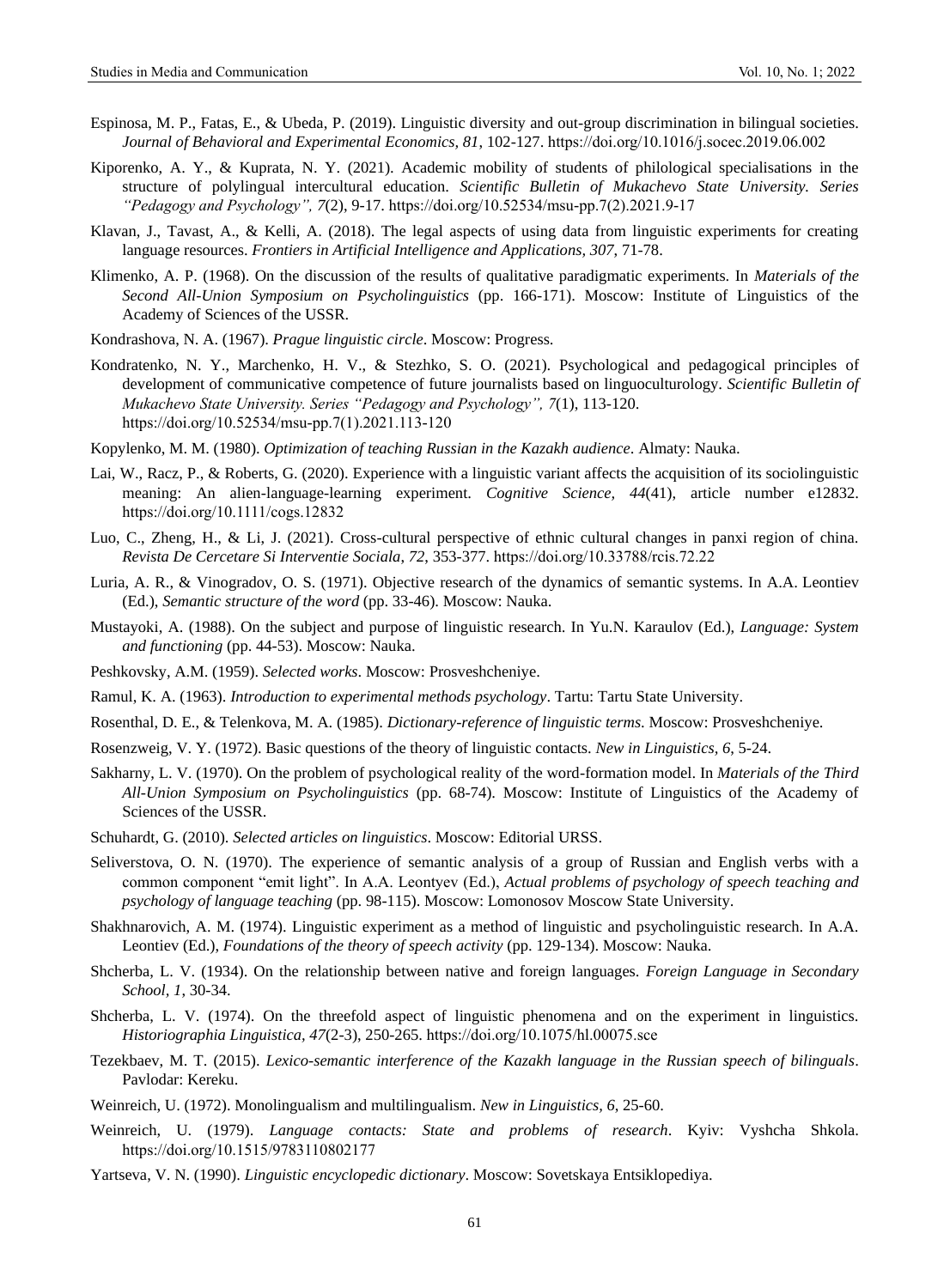- Espinosa, M. P., Fatas, E., & Ubeda, P. (2019). Linguistic diversity and out-group discrimination in bilingual societies. *Journal of Behavioral and Experimental Economics, 81*, 102-127[. https://doi.org/10.1016/j.socec.2019.06.002](https://doi.org/10.1016/j.socec.2019.06.002)
- Kiporenko, A. Y., & Kuprata, N. Y. (2021). Academic mobility of students of philological specialisations in the structure of polylingual intercultural education. *Scientific Bulletin of Mukachevo State University. Series "Pedagogy and Psychology", 7*(2), 9-17. [https://doi.org/10.52534/msu-pp.7\(2\).2021.9-17](https://doi.org/10.52534/msu-pp.7(2).2021.9-17)
- Klavan, J., Tavast, A., & Kelli, A. (2018). The legal aspects of using data from linguistic experiments for creating language resources. *Frontiers in Artificial Intelligence and Applications, 307*, 71-78.
- Klimenko, A. P. (1968). On the discussion of the results of qualitative paradigmatic experiments. In *Materials of the Second All-Union Symposium on Psycholinguistics* (pp. 166-171). Moscow: Institute of Linguistics of the Academy of Sciences of the USSR.
- Kondrashova, N. A. (1967). *Prague linguistic circle*. Moscow: Progress.
- Kondratenko, N. Y., Marchenko, H. V., & Stezhko, S. O. (2021). Psychological and pedagogical principles of development of communicative competence of future journalists based on linguoculturology. *Scientific Bulletin of Mukachevo State University. Series "Pedagogy and Psychology", 7*(1), 113-120. https://doi.org/10.52534/msu-pp.7(1).2021.113-120
- Kopylenko, M. M. (1980). *Optimization of teaching Russian in the Kazakh audience*. Almaty: Nauka.
- Lai, W., Racz, P., & Roberts, G. (2020). Experience with a linguistic variant affects the acquisition of its sociolinguistic meaning: An alien-language-learning experiment. *Cognitive Science, 44*(41), article number e12832. <https://doi.org/10.1111/cogs.12832>
- Luo, C., Zheng, H., & Li, J. (2021). Cross-cultural perspective of ethnic cultural changes in panxi region of china. *Revista De Cercetare Si Interventie Sociala*, *72*, 353-377. <https://doi.org/10.33788/rcis.72.22>
- Luria, A. R., & Vinogradov, O. S. (1971). Objective research of the dynamics of semantic systems. In A.A. Leontiev (Ed.), *Semantic structure of the word* (pp. 33-46). Moscow: Nauka.
- Mustayoki, A. (1988). On the subject and purpose of linguistic research. In Yu.N. Karaulov (Ed.), *Language: System and functioning* (pp. 44-53). Moscow: Nauka.
- Peshkovsky, A.M. (1959). *Selected works*. Moscow: Prosveshcheniye.
- Ramul, K. A. (1963). *Introduction to experimental methods psychology*. Tartu: Tartu State University.
- Rosenthal, D. E., & Telenkova, M. A. (1985). *Dictionary-reference of linguistic terms*. Moscow: Prosveshcheniye.
- Rosenzweig, V. Y. (1972). Basic questions of the theory of linguistic contacts. *New in Linguistics, 6*, 5-24.
- Sakharny, L. V. (1970). On the problem of psychological reality of the word-formation model. In *Materials of the Third All-Union Symposium on Psycholinguistics* (pp. 68-74). Moscow: Institute of Linguistics of the Academy of Sciences of the USSR.
- Schuhardt, G. (2010). *Selected articles on linguistics*. Moscow: Editorial URSS.
- Seliverstova, O. N. (1970). The experience of semantic analysis of a group of Russian and English verbs with a common component "emit light". In A.A. Leontyev (Ed.), *Actual problems of psychology of speech teaching and psychology of language teaching* (pp. 98-115). Moscow: Lomonosov Moscow State University.
- Shakhnarovich, A. M. (1974). Linguistic experiment as a method of linguistic and psycholinguistic research. In A.A. Leontiev (Ed.), *Foundations of the theory of speech activity* (pp. 129-134). Moscow: Nauka.
- Shcherba, L. V. (1934). On the relationship between native and foreign languages. *Foreign Language in Secondary School, 1*, 30-34.
- Shcherba, L. V. (1974). On the threefold aspect of linguistic phenomena and on the experiment in linguistics. *Historiographia Linguistica, 47*(2-3), 250-265. <https://doi.org/10.1075/hl.00075.sce>
- Tezekbaev, M. T. (2015). *Lexico-semantic interference of the Kazakh language in the Russian speech of bilinguals*. Pavlodar: Kereku.
- Weinreich, U. (1972). Monolingualism and multilingualism. *New in Linguistics, 6*, 25-60.
- Weinreich, U. (1979). *Language contacts: State and problems of research*. Kyiv: Vyshcha Shkola. <https://doi.org/10.1515/9783110802177>
- Yartseva, V. N. (1990). *Linguistic encyclopedic dictionary*. Moscow: Sovetskaya Entsiklopediya.